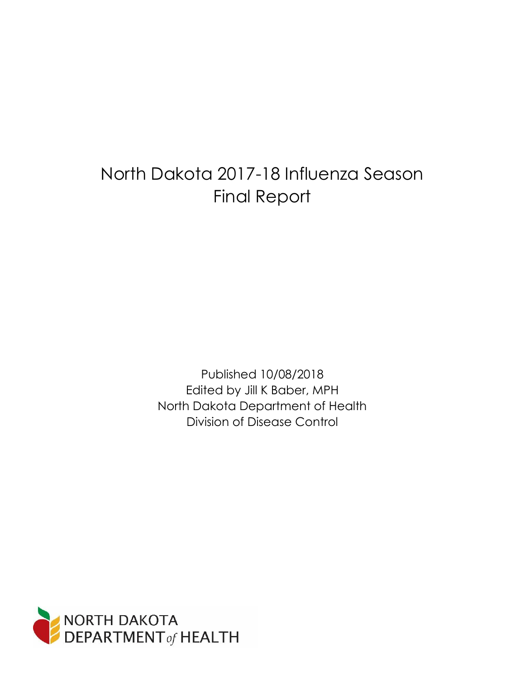# North Dakota 2017-18 Influenza Season Final Report

Published 10/08/2018 Edited by Jill K Baber, MPH North Dakota Department of Health Division of Disease Control

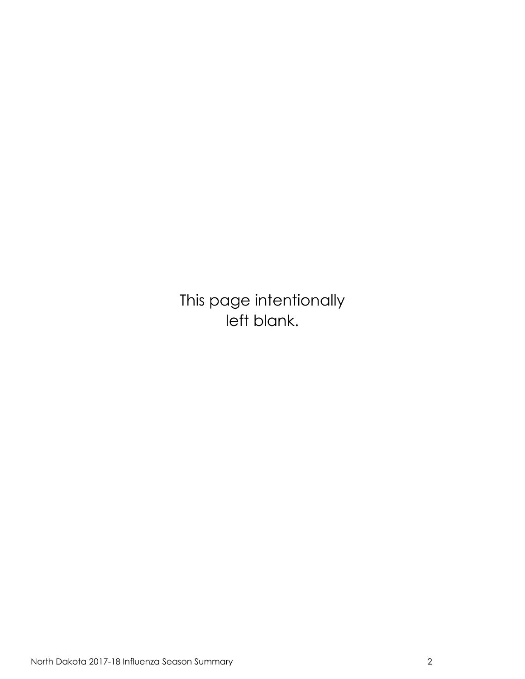This page intentionally left blank.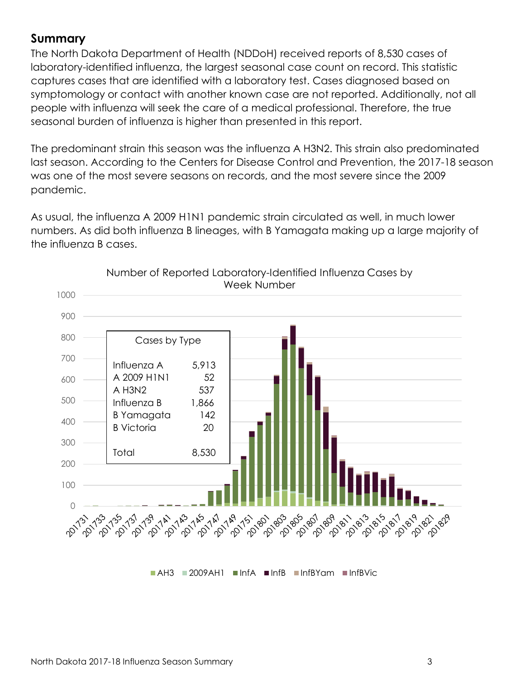### **Summary**

The North Dakota Department of Health (NDDoH) received reports of 8,530 cases of laboratory-identified influenza, the largest seasonal case count on record. This statistic captures cases that are identified with a laboratory test. Cases diagnosed based on symptomology or contact with another known case are not reported. Additionally, not all people with influenza will seek the care of a medical professional. Therefore, the true seasonal burden of influenza is higher than presented in this report.

The predominant strain this season was the influenza A H3N2. This strain also predominated last season. According to the Centers for Disease Control and Prevention, the 2017-18 season was one of the most severe seasons on records, and the most severe since the 2009 pandemic.

As usual, the influenza A 2009 H1N1 pandemic strain circulated as well, in much lower numbers. As did both influenza B lineages, with B Yamagata making up a large majority of the influenza B cases.



Number of Reported Laboratory-Identified Influenza Cases by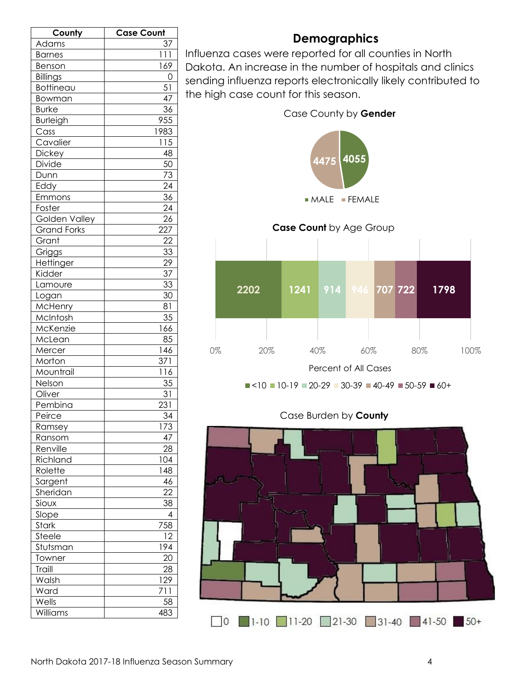| County             | <b>Case Count</b> |
|--------------------|-------------------|
| Adams              | 37                |
| <b>Barnes</b>      | $\overline{11}1$  |
| Benson             | 169               |
| <b>Billings</b>    | 0                 |
| Bottineau          | $5\overline{1}$   |
| Bowman             | 47                |
| <b>Burke</b>       | 36                |
| <b>Burleigh</b>    | 955               |
| Cass               | 1983              |
| Cavalier           | 115               |
| Dickey             | 48                |
| Divide             | 50                |
| Dunn               | 73                |
| Eddy               | $\overline{24}$   |
| Emmons             | 36                |
| Foster             | $\frac{24}{5}$    |
| Golden Valley      | $\overline{26}$   |
| <b>Grand Forks</b> | 227               |
| Grant              | 22                |
| Griggs             | 33                |
| Hettinger          | 29                |
| Kidder             | 37                |
| Lamoure            | $\overline{33}$   |
| Logan              | 30                |
| McHenry            | 81                |
| McIntosh           | 35                |
| McKenzie           | 166               |
| McLean             | 85                |
| Mercer             | 146               |
| Morton             | 371               |
| Mountrail          | 116               |
| Nelson             | 35                |
| Oliver             | 31                |
| Pembina            | 231               |
| Peirce             | 34                |
| Ramsey             | 173               |
| Ransom             | 47                |
| Renville           | 28                |
| Richland           | 104               |
| Rolette            | 148               |
| Sargent            | 46                |
| Sheridan           | 22                |
| Sioux              | 38                |
| Slope              | 4                 |
| Stark              | 758               |
| Steele             | 12                |
| Stutsman           | 194               |
| Towner             | 20                |
| Traill             | 28                |
| Walsh              | 129               |
| Ward               | 711               |
| Wells              | 58                |
| Williams           | 483               |

# **Demographics**

Influenza cases were reported for all counties in North Dakota. An increase in the number of hospitals and clinics sending influenza reports electronically likely contributed to the high case count for this season.

> **4475 4055** Case County by **Gender** MALE FEMALE



Case Burden by **County**

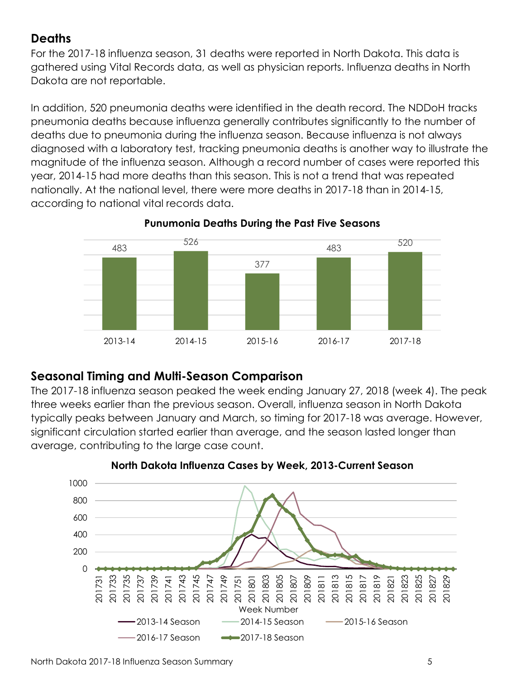# **Deaths**

For the 2017-18 influenza season, 31 deaths were reported in North Dakota. This data is gathered using Vital Records data, as well as physician reports. Influenza deaths in North Dakota are not reportable.

In addition, 520 pneumonia deaths were identified in the death record. The NDDoH tracks pneumonia deaths because influenza generally contributes significantly to the number of deaths due to pneumonia during the influenza season. Because influenza is not always diagnosed with a laboratory test, tracking pneumonia deaths is another way to illustrate the magnitude of the influenza season. Although a record number of cases were reported this year, 2014-15 had more deaths than this season. This is not a trend that was repeated nationally. At the national level, there were more deaths in 2017-18 than in 2014-15, according to national vital records data.



### **Punumonia Deaths During the Past Five Seasons**

## **Seasonal Timing and Multi-Season Comparison**

The 2017-18 influenza season peaked the week ending January 27, 2018 (week 4). The peak three weeks earlier than the previous season. Overall, influenza season in North Dakota typically peaks between January and March, so timing for 2017-18 was average. However, significant circulation started earlier than average, and the season lasted longer than average, contributing to the large case count.



#### **North Dakota Influenza Cases by Week, 2013-Current Season**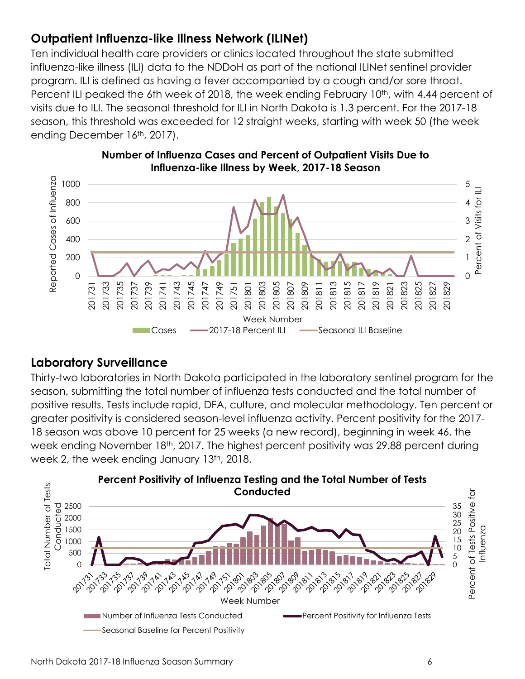# **Outpatient Influenza-like Illness Network (ILINet)**

Ten individual health care providers or clinics located throughout the state submitted influenza-like illness (ILI) data to the NDDoH as part of the national ILINet sentinel provider program. ILI is defined as having a fever accompanied by a cough and/or sore throat. Percent ILI peaked the 6th week of 2018, the week ending February 10<sup>th</sup>, with 4.44 percent of visits due to ILI. The seasonal threshold for ILI in North Dakota is 1.3 percent. For the 2017-18 season, this threshold was exceeded for 12 straight weeks, starting with week 50 (the week ending December 16<sup>th</sup>, 2017).



#### **Number of Influenza Cases and Percent of Outpatient Visits Due to Influenza-like Illness by Week, 2017-18 Season**

## **Laboratory Surveillance**

Thirty-two laboratories in North Dakota participated in the laboratory sentinel program for the season, submitting the total number of influenza tests conducted and the total number of positive results. Tests include rapid, DFA, culture, and molecular methodology. Ten percent or greater positivity is considered season-level influenza activity. Percent positivity for the 2017- season was above 10 percent for 25 weeks (a new record), beginning in week 46, the week ending November 18<sup>th</sup>, 2017. The highest percent positivity was 29.88 percent during week 2, the week ending January 13<sup>th</sup>, 2018.